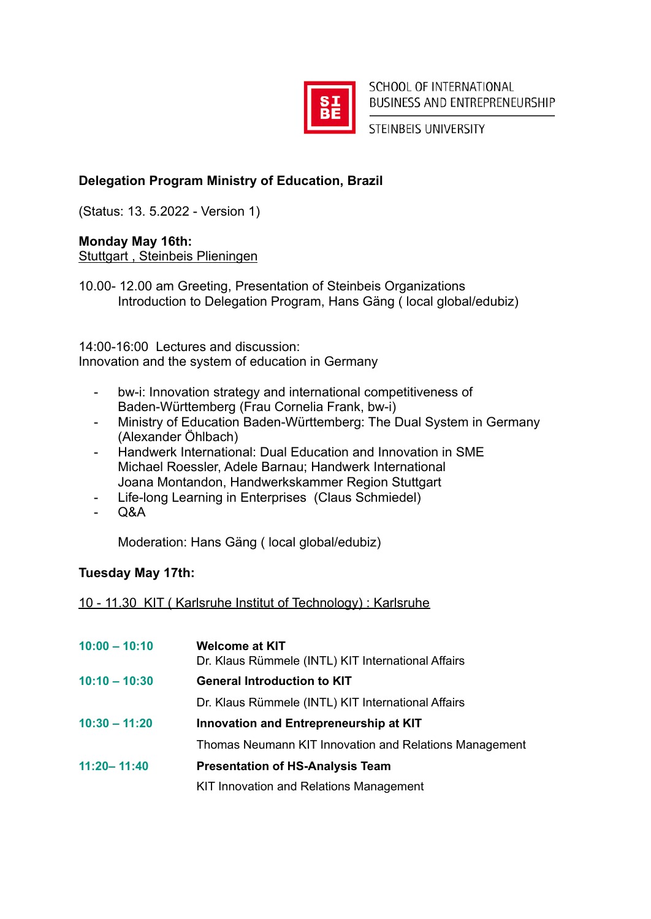

SCHOOL OF INTERNATIONAL BUSINESS AND ENTREPRENEURSHIP

STEINBEIS UNIVERSITY

# **Delegation Program Ministry of Education, Brazil**

(Status: 13. 5.2022 - Version 1)

### **Monday May 16th:**

Stuttgart , Steinbeis Plieningen

10.00- 12.00 am Greeting, Presentation of Steinbeis Organizations Introduction to Delegation Program, Hans Gäng ( local global/edubiz)

14:00-16:00 Lectures and discussion:

Innovation and the system of education in Germany

- bw-i: Innovation strategy and international competitiveness of Baden-Württemberg (Frau Cornelia Frank, bw-i)
- Ministry of Education Baden-Württemberg: The Dual System in Germany (Alexander Öhlbach)
- Handwerk International: Dual Education and Innovation in SME Michael Roessler, Adele Barnau; Handwerk International Joana Montandon, Handwerkskammer Region Stuttgart
- Life-long Learning in Enterprises (Claus Schmiedel)
- $O&A$

Moderation: Hans Gäng ( local global/edubiz)

## **Tuesday May 17th:**

## 10 - 11.30 KIT ( Karlsruhe Institut of Technology) : Karlsruhe

| $10:00 - 10:10$ | <b>Welcome at KIT</b>                                  |
|-----------------|--------------------------------------------------------|
|                 | Dr. Klaus Rümmele (INTL) KIT International Affairs     |
| $10:10 - 10:30$ | <b>General Introduction to KIT</b>                     |
|                 | Dr. Klaus Rümmele (INTL) KIT International Affairs     |
| $10:30 - 11:20$ | Innovation and Entrepreneurship at KIT                 |
|                 | Thomas Neumann KIT Innovation and Relations Management |
| $11:20 - 11:40$ | <b>Presentation of HS-Analysis Team</b>                |
|                 | KIT Innovation and Relations Management                |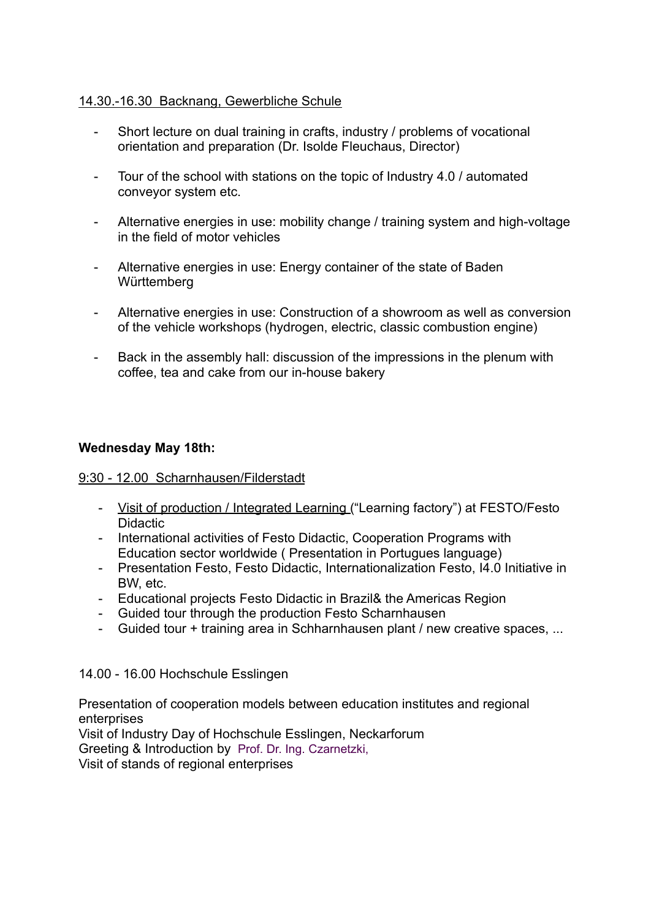## 14.30.-16.30 Backnang, Gewerbliche Schule

- Short lecture on dual training in crafts, industry / problems of vocational orientation and preparation (Dr. Isolde Fleuchaus, Director)
- Tour of the school with stations on the topic of Industry 4.0 / automated conveyor system etc.
- Alternative energies in use: mobility change / training system and high-voltage in the field of motor vehicles
- Alternative energies in use: Energy container of the state of Baden **Württemberg**
- Alternative energies in use: Construction of a showroom as well as conversion of the vehicle workshops (hydrogen, electric, classic combustion engine)
- Back in the assembly hall: discussion of the impressions in the plenum with coffee, tea and cake from our in-house bakery

#### **Wednesday May 18th:**

#### 9:30 - 12.00 Scharnhausen/Filderstadt

- Visit of production / Integrated Learning ("Learning factory") at FESTO/Festo Didactic
- International activities of Festo Didactic, Cooperation Programs with Education sector worldwide ( Presentation in Portugues language)
- Presentation Festo, Festo Didactic, Internationalization Festo, I4.0 Initiative in BW, etc.
- Educational projects Festo Didactic in Brazil& the Americas Region
- Guided tour through the production Festo Scharnhausen
- Guided tour + training area in Schharnhausen plant / new creative spaces, ...

#### 14.00 - 16.00 Hochschule Esslingen

Presentation of cooperation models between education institutes and regional enterprises

Visit of Industry Day of Hochschule Esslingen, Neckarforum

Greeting & Introduction by Prof. Dr. Ing. Czarnetzki,

Visit of stands of regional enterprises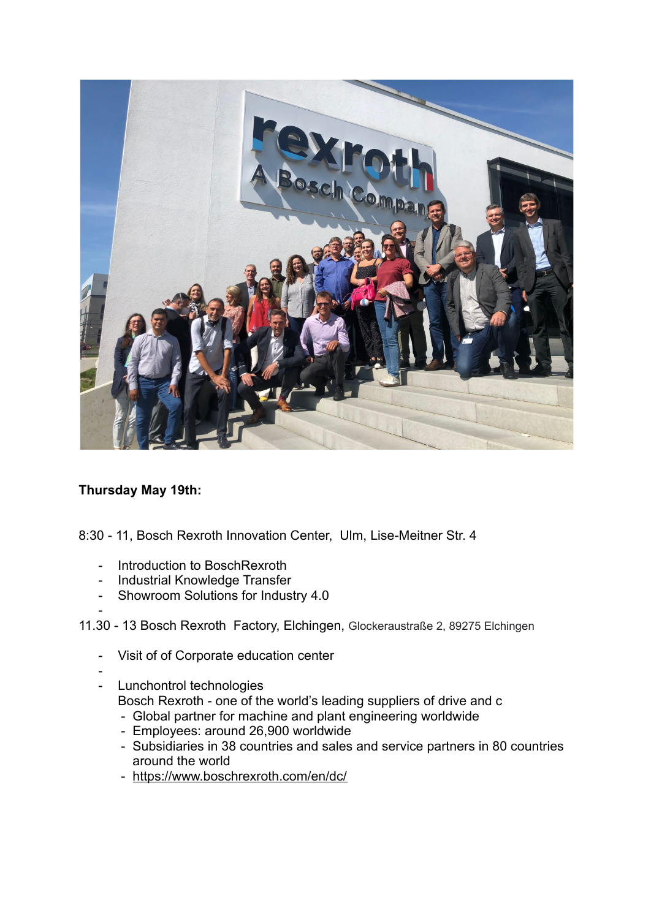

## **Thursday May 19th:**

- 8:30 11, Bosch Rexroth Innovation Center, Ulm, Lise-Meitner Str. 4
	- Introduction to BoschRexroth
	- Industrial Knowledge Transfer
	- Showroom Solutions for Industry 4.0

#### 11.30 - 13 Bosch Rexroth Factory, Elchingen, Glockeraustraße 2, 89275 Elchingen

- Visit of of Corporate education center
- -

-

- Lunchontrol technologies
	- Bosch Rexroth one of the world's leading suppliers of drive and c
	- Global partner for machine and plant engineering worldwide
	- Employees: around 26,900 worldwide
	- Subsidiaries in 38 countries and sales and service partners in 80 countries around the world
	- <https://www.boschrexroth.com/en/dc/>